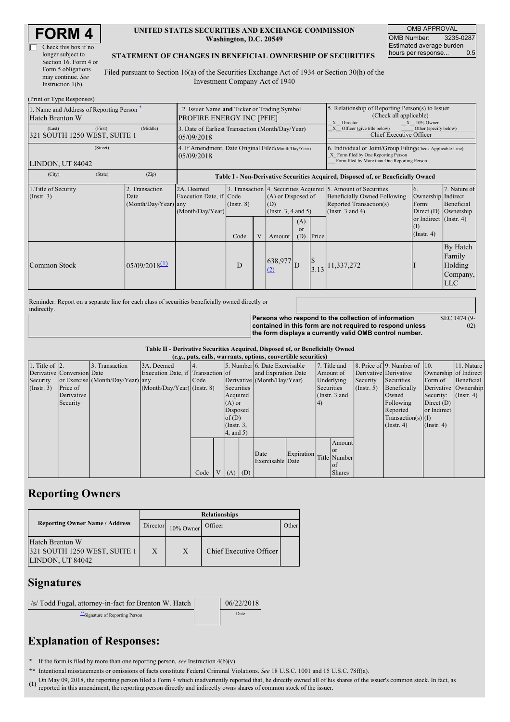| Check this box if no  |
|-----------------------|
| longer subject to     |
| Section 16. Form 4 or |
| Form 5 obligations    |
| may continue. See     |
| Instruction $1(b)$ .  |

### **UNITED STATES SECURITIES AND EXCHANGE COMMISSION Washington, D.C. 20549**

OMB APPROVAL OMB Number: 3235-0287 Estimated average burden<br>hours per response... 0.5 hours per response...

#### **STATEMENT OF CHANGES IN BENEFICIAL OWNERSHIP OF SECURITIES**

Filed pursuant to Section 16(a) of the Securities Exchange Act of 1934 or Section 30(h) of the Investment Company Act of 1940

| (Print or Type Responses)                                                                       |                                                                                 |                                                |                                                                                  |                         |  |                                                                                                              |                                                                                                                                                    |  |                                                                                                                                                          |                                                                                                         |                                                         |
|-------------------------------------------------------------------------------------------------|---------------------------------------------------------------------------------|------------------------------------------------|----------------------------------------------------------------------------------|-------------------------|--|--------------------------------------------------------------------------------------------------------------|----------------------------------------------------------------------------------------------------------------------------------------------------|--|----------------------------------------------------------------------------------------------------------------------------------------------------------|---------------------------------------------------------------------------------------------------------|---------------------------------------------------------|
| 1. Name and Address of Reporting Person –<br><b>Hatch Brenton W</b>                             | 2. Issuer Name and Ticker or Trading Symbol<br><b>PROFIRE ENERGY INC [PFIE]</b> |                                                |                                                                                  |                         |  | 5. Relationship of Reporting Person(s) to Issuer<br>(Check all applicable)<br>X Director<br>$X = 10\%$ Owner |                                                                                                                                                    |  |                                                                                                                                                          |                                                                                                         |                                                         |
| (Last)<br>321 SOUTH 1250 WEST, SUITE 1                                                          | 3. Date of Earliest Transaction (Month/Day/Year)<br>05/09/2018                  |                                                |                                                                                  |                         |  | Other (specify below)<br>Officer (give title below)<br>X<br><b>Chief Executive Officer</b>                   |                                                                                                                                                    |  |                                                                                                                                                          |                                                                                                         |                                                         |
| LINDON, UT 84042                                                                                | 4. If Amendment, Date Original Filed (Month/Day/Year)<br>05/09/2018             |                                                |                                                                                  |                         |  |                                                                                                              | 6. Individual or Joint/Group Filing(Check Applicable Line)<br>X Form filed by One Reporting Person<br>Form filed by More than One Reporting Person |  |                                                                                                                                                          |                                                                                                         |                                                         |
| (City)                                                                                          | (State)                                                                         | (Zip)                                          | Table I - Non-Derivative Securities Acquired, Disposed of, or Beneficially Owned |                         |  |                                                                                                              |                                                                                                                                                    |  |                                                                                                                                                          |                                                                                                         |                                                         |
| 1. Title of Security<br>(Insert. 3)                                                             |                                                                                 | 2. Transaction<br>Date<br>(Month/Day/Year) any | 2A. Deemed<br>Execution Date, if Code<br>(Month/Day/Year)                        | $($ Instr. $8)$<br>Code |  | (A) or Disposed of<br>(D)<br>(Instr. $3, 4$ and $5$ )<br>(A)<br>$\alpha$<br>(D)<br>Price<br>Amount           |                                                                                                                                                    |  | 3. Transaction 4. Securities Acquired 5. Amount of Securities<br><b>Beneficially Owned Following</b><br>Reported Transaction(s)<br>(Instr. $3$ and $4$ ) | 6.<br>Ownership Indirect<br>Form:<br>Direct $(D)$<br>or Indirect $($ Instr. 4 $)$<br>(1)<br>(Insert. 4) | 7. Nature of<br>Beneficial<br>Ownership                 |
| Common Stock                                                                                    |                                                                                 | $05/09/2018^{(1)}$                             |                                                                                  | D                       |  | 638,977<br>(2)                                                                                               |                                                                                                                                                    |  | $3.13$ <sup>11,337,272</sup>                                                                                                                             |                                                                                                         | By Hatch<br>Family<br>Holding<br>Company,<br><b>LLC</b> |
| Reminder: Report on a separate line for each class of securities beneficially owned directly or |                                                                                 |                                                |                                                                                  |                         |  |                                                                                                              |                                                                                                                                                    |  |                                                                                                                                                          |                                                                                                         |                                                         |

Reminder: Report on a separate line for each class of securities beneficially owned directly or

indirectly. **Persons who respond to the collection of information contained in this form are not required to respond unless the form displays a currently valid OMB control number.** SEC 1474 (9-  $(02)$ 

### **Table II - Derivative Securities Acquired, Disposed of, or Beneficially Owned**

| (e.g., puts, calls, warrants, options, convertible securities) |                            |                                  |                                   |      |                 |            |            |                               |            |    |                      |             |                              |                       |                      |
|----------------------------------------------------------------|----------------------------|----------------------------------|-----------------------------------|------|-----------------|------------|------------|-------------------------------|------------|----|----------------------|-------------|------------------------------|-----------------------|----------------------|
| 1. Title of $\vert$ 2.                                         |                            | 3. Transaction                   | 3A. Deemed                        |      |                 |            |            | 5. Number 6. Date Exercisable |            |    | 7. Title and         |             | 8. Price of 9. Number of 10. |                       | 11. Nature           |
|                                                                | Derivative Conversion Date |                                  | Execution Date, if Transaction of |      |                 |            |            | and Expiration Date           |            |    | Amount of            |             | Derivative Derivative        | Ownership of Indirect |                      |
| Security                                                       |                            | or Exercise (Month/Day/Year) any |                                   | Code |                 |            |            | Derivative (Month/Day/Year)   |            |    | Underlying           | Security    | Securities                   | Form of               | Beneficial           |
| $($ Instr. 3 $)$                                               | Price of                   |                                  | $(Month/Day/Year)$ (Instr. 8)     |      |                 | Securities |            |                               |            |    | Securities           | (Insert. 5) | Beneficially                 |                       | Derivative Ownership |
|                                                                | Derivative                 |                                  |                                   |      |                 | Acquired   |            |                               |            |    | (Instr. 3 and        |             | Owned                        | Security:             | $($ Instr. 4)        |
|                                                                | Security                   |                                  |                                   |      |                 | $(A)$ or   |            |                               |            | 4) |                      |             | Following                    | Direct $(D)$          |                      |
|                                                                |                            |                                  |                                   |      |                 | Disposed   |            |                               |            |    |                      |             | Reported                     | or Indirect           |                      |
|                                                                |                            |                                  |                                   |      |                 | of $(D)$   |            |                               |            |    | $Transaction(s)$ (I) |             |                              |                       |                      |
|                                                                |                            |                                  |                                   |      | $($ Instr. $3,$ |            |            |                               |            |    |                      |             | (Insert 4)                   | $($ Instr. 4 $)$      |                      |
|                                                                |                            |                                  |                                   |      | $4$ , and 5)    |            |            |                               |            |    |                      |             |                              |                       |                      |
|                                                                |                            |                                  |                                   |      |                 |            |            |                               |            |    | Amount               |             |                              |                       |                      |
|                                                                |                            |                                  |                                   |      |                 |            |            |                               |            |    | <b>or</b>            |             |                              |                       |                      |
|                                                                |                            |                                  |                                   |      |                 |            |            | Date                          | Expiration |    | Title Number         |             |                              |                       |                      |
|                                                                |                            |                                  |                                   |      |                 |            |            | Exercisable Date              |            |    | lof                  |             |                              |                       |                      |
|                                                                |                            |                                  |                                   | Code |                 |            | $V(A)$ (D) |                               |            |    | <b>Shares</b>        |             |                              |                       |                      |

## **Reporting Owners**

|                                                                     | <b>Relationships</b> |           |                         |       |  |  |  |  |
|---------------------------------------------------------------------|----------------------|-----------|-------------------------|-------|--|--|--|--|
| <b>Reporting Owner Name / Address</b>                               | Director             | 10% Owner | Officer                 | Other |  |  |  |  |
| Hatch Brenton W<br>321 SOUTH 1250 WEST, SUITE 1<br>LINDON, UT 84042 | $\mathbf{X}$         | X         | Chief Executive Officer |       |  |  |  |  |

### **Signatures**

| /s/ Todd Fugal, attorney-in-fact for Brenton W. Hatch | 06/22/2018 \*\*Signature of Reporting Person Date

# **Explanation of Responses:**

**\*** If the form is filed by more than one reporting person, *see* Instruction 4(b)(v).

**\*\*** Intentional misstatements or omissions of facts constitute Federal Criminal Violations. *See* 18 U.S.C. 1001 and 15 U.S.C. 78ff(a).

(1) On May 09, 2018, the reporting person filed a Form 4 which inadvertently reported that, he directly owned all of his shares of the issuer's common stock. In fact, as (1) are reporting the common stock. In fact, as reported in this amendment, the reporting person directly and indirectly owns shares of common stock of the issuer.